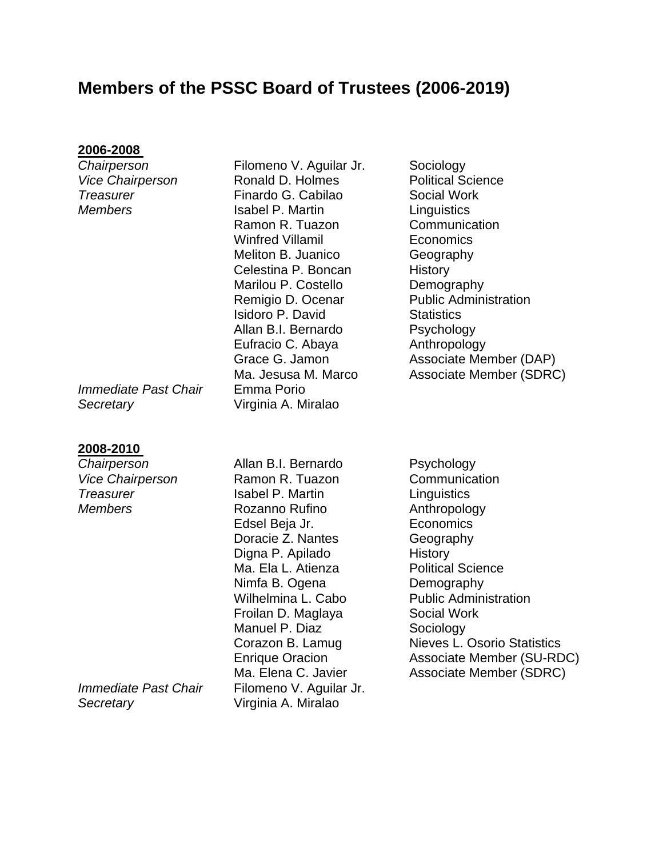# **Members of the PSSC Board of Trustees (2006-2019)**

# **2006-2008**

*Immediate Past Chair* Emma Porio *Secretary* Virginia A. Miralao

### **2008-2010**

*Secretary* Virginia A. Miralao

**Chairperson Filomeno V. Aguilar Jr. Sociology** Vice Chairperson **Ronald D. Holmes** Political Science *Treasurer* Finardo G. Cabilao Social Work *Members* **Isabel P. Martin Linguistics** Ramon R. Tuazon Communication Winfred Villamil **Economics** Meliton B. Juanico **Geography** Celestina P. Boncan History Marilou P. Costello **Demography** Remigio D. Ocenar Public Administration **Isidoro P. David** Statistics Allan B.I. Bernardo Psychology Eufracio C. Abaya **Anthropology** 

**Chairperson Allan B.I. Bernardo** Psychology Vice Chairperson **Ramon R. Tuazon** Communication **Treasurer Isabel P. Martin Linguistics Members** Rozanno Rufino **Anthropology** Edsel Beja Jr. **Economics** Doracie Z. Nantes Geography Digna P. Apilado History Ma. Ela L. Atienza Political Science Nimfa B. Ogena Demography Wilhelmina L. Cabo Public Administration Froilan D. Maglaya Social Work Manuel P. Diaz Sociology *Immediate Past Chair Filomeno V. Aguilar Jr.* 

Grace G. Jamon **Associate Member (DAP)** Ma. Jesusa M. Marco Associate Member (SDRC)

Corazon B. Lamug Nieves L. Osorio Statistics Enrique Oracion Associate Member (SU-RDC) Ma. Elena C. Javier **Associate Member (SDRC)**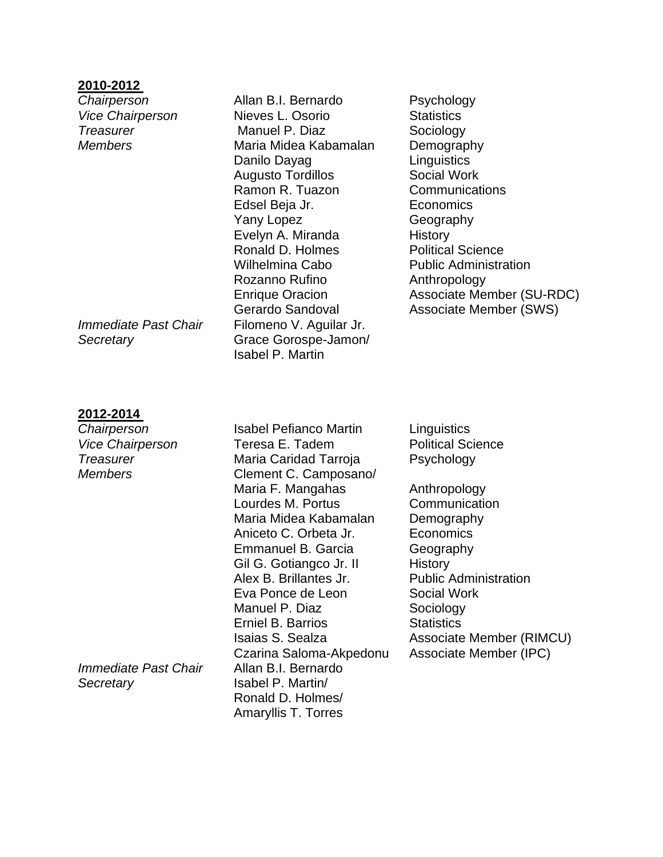# **2010-2012**

# **2012-2014**

*Immediate Past Chair* Allan B.I. Bernardo *Secretary* Isabel P. Martin/

**Chairperson Allan B.I. Bernardo** Psychology **Vice Chairperson Nieves L. Osorio Statistics Treasurer** Manuel P. Diaz Sociology *Members* Maria Midea Kabamalan Demography Danilo Dayag **Linguistics** Augusto Tordillos **Social Work** Ramon R. Tuazon Communications Edsel Beja Jr. Economics Yany Lopez Geography Evelyn A. Miranda History Ronald D. Holmes Political Science Wilhelmina Cabo **Public Administration** Rozanno Rufino **Anthropology** *Immediate Past Chair Filomeno V. Aguilar Jr. Secretary* Grace Gorospe-Jamon/ Isabel P. Martin

Enrique Oracion Associate Member (SU-RDC) Gerardo Sandoval Associate Member (SWS)

*Chairperson* Isabel Pefianco Martin Linguistics Vice Chairperson **Teresa E. Tadem** Political Science **Treasurer 1988** Maria Caridad Tarroja Psychology *Members* **Clement C. Camposano/** Maria F. Mangahas **Anthropology** Lourdes M. Portus Communication Maria Midea Kabamalan Demography Aniceto C. Orbeta Jr. Economics Emmanuel B. Garcia **Geography** Gil G. Gotiangco Jr. II History Alex B. Brillantes Jr. Public Administration Eva Ponce de Leon Social Work Manuel P. Diaz Sociology **Erniel B. Barrios** Statistics Isaias S. Sealza **Associate Member (RIMCU)** Czarina Saloma-Akpedonu Associate Member (IPC) Ronald D. Holmes/ Amaryllis T. Torres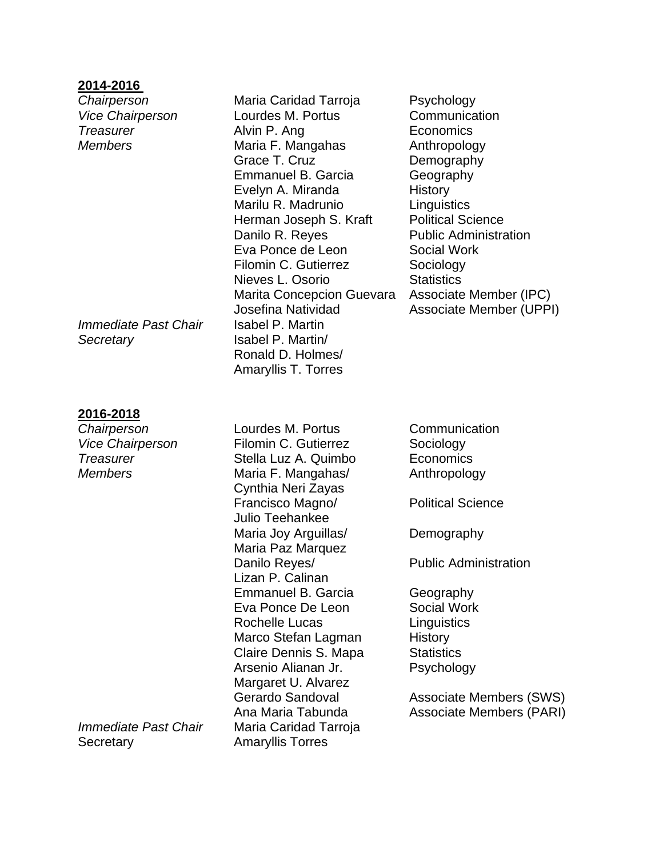# **2014-2016**

*Immediate Past Chair* Isabel P. Martin *Secretary* Isabel P. Martin/

# **2016-2018**

*Immediate Past Chair* Maria Caridad Tarroja Secretary **Amaryllis Torres** 

*Chairperson* Maria Caridad Tarroja Psychology Vice Chairperson **Lourdes M. Portus** Communication **Treasurer Community Community Alvin P. Ang Community Community Economics** *Members* **Maria F. Mangahas** Anthropology Grace T. Cruz Demography Emmanuel B. Garcia **Geography** Evelyn A. Miranda History Marilu R. Madrunio Linguistics Herman Joseph S. Kraft Political Science Danilo R. Reyes Public Administration Eva Ponce de Leon Social Work Filomin C. Gutierrez **Sociology** Nieves L. Osorio **Statistics** Marita Concepcion Guevara Associate Member (IPC) Josefina Natividad Associate Member (UPPI) Ronald D. Holmes/ Amaryllis T. Torres

**Chairperson Lourdes M. Portus** Communication *Vice Chairperson* Filomin C. Gutierrez Sociology **Treasurer Stella Luz A. Quimbo** Economics *Members* Maria F. Mangahas/ Anthropology Cynthia Neri Zayas Francisco Magno/ Political Science Julio Teehankee Maria Joy Arguillas/ Demography Maria Paz Marquez Danilo Reyes/ **Example 20 Fublic Administration** Lizan P. Calinan Emmanuel B. Garcia **Geography** Eva Ponce De Leon Social Work Rochelle Lucas Linguistics Marco Stefan Lagman History Claire Dennis S. Mapa Statistics Arsenio Alianan Jr. Psychology Margaret U. Alvarez

Gerardo Sandoval **Associate Members (SWS)** Ana Maria Tabunda **Associate Members (PARI)**